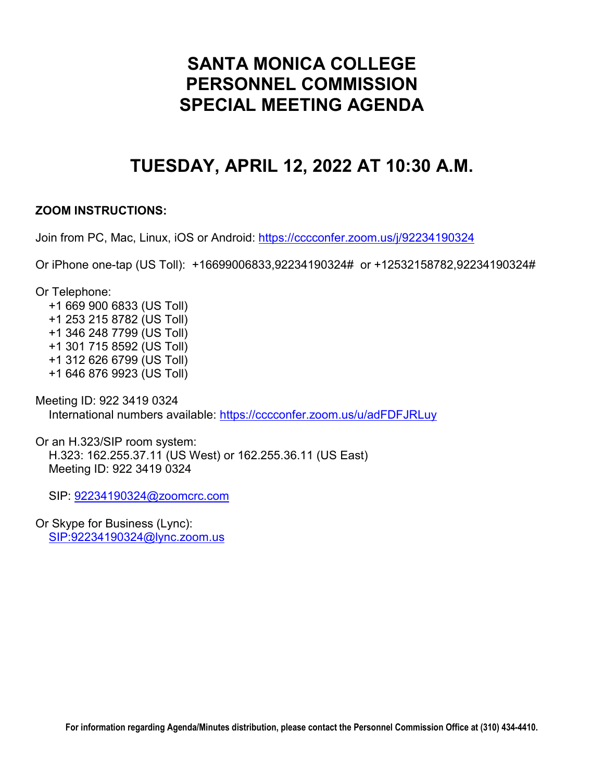# **SANTA MONICA COLLEGE PERSONNEL COMMISSION SPECIAL MEETING AGENDA**

# **TUESDAY, APRIL 12, 2022 AT 10:30 A.M.**

# **ZOOM INSTRUCTIONS:**

Join from PC, Mac, Linux, iOS or Android:<https://cccconfer.zoom.us/j/92234190324>

Or iPhone one-tap (US Toll): +16699006833,92234190324# or +12532158782,92234190324#

Or Telephone:

 +1 669 900 6833 (US Toll) +1 253 215 8782 (US Toll) +1 346 248 7799 (US Toll) +1 301 715 8592 (US Toll) +1 312 626 6799 (US Toll) +1 646 876 9923 (US Toll)

Meeting ID: 922 3419 0324 International numbers available:<https://cccconfer.zoom.us/u/adFDFJRLuy>

Or an H.323/SIP room system: H.323: 162.255.37.11 (US West) or 162.255.36.11 (US East) Meeting ID: 922 3419 0324

SIP: [92234190324@zoomcrc.com](mailto:92234190324@zoomcrc.com)

Or Skype for Business (Lync): [SIP:92234190324@lync.zoom.us](sip:92234190324@lync.zoom.us)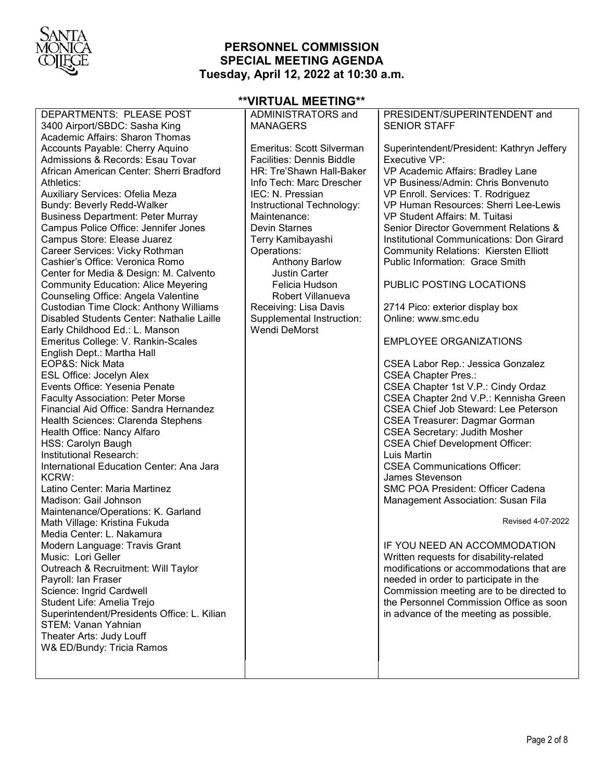

DEPARTMENTS: PLEASE POST

#### **PERSONNEL COMMISSION SPECIAL MEETING AGENDA Tuesday, April 12, 2022 at 10:30 a.m.**

#### 3400 Airport/SBDC: Sasha King Academic Affairs: Sharon Thomas Accounts Payable: Cherry Aquino Admissions & Records: Esau Tovar African American Center: Sherri Bradford Athletics: Auxiliary Services: Ofelia Meza Bundy: Beverly Redd-Walker Business Department: Peter Murray Campus Police Office: Jennifer Jones Campus Store: Elease Juarez Career Services: Vicky Rothman Cashier's Office: Veronica Romo Center for Media & Design: M. Calvento Community Education: Alice Meyering Counseling Office: Angela Valentine Custodian Time Clock: Anthony Williams Disabled Students Center: Nathalie Laille Early Childhood Ed.: L. Manson Emeritus College: V. Rankin-Scales English Dept.: Martha Hall EOP&S: Nick Mata ESL Office: Jocelyn Alex Events Office: Yesenia Penate Faculty Association: Peter Morse Financial Aid Office: Sandra Hernandez Health Sciences: Clarenda Stephens Health Office: Nancy Alfaro HSS: Carolyn Baugh Institutional Research: International Education Center: Ana Jara KCRW: Latino Center: Maria Martinez Madison: Gail Johnson Maintenance/Operations: K. Garland Math Village: Kristina Fukuda Media Center: L. Nakamura Modern Language: Travis Grant Music: Lori Geller Outreach & Recruitment: Will Taylor Payroll: Ian Fraser Science: Ingrid Cardwell Student Life: Amelia Trejo Superintendent/Presidents Office: L. Kilian **MANA** Emerit Faciliti  $HR: T<sub>l</sub>$ Info  $T_0$ IEC: N. Instruc Mainte Devin Terry Opera Receiv Supple Wendi

STEM: Vanan Yahnian Theater Arts: Judy Louff W& ED/Bundy: Tricia Ramos

#### **\*\*VIRTUAL MEETING\*\***

| ADMINISTRATORS and               | PRESIDENT/SUPERINTENDENT and                 |
|----------------------------------|----------------------------------------------|
| <b>MANAGERS</b>                  | <b>SENIOR STAFF</b>                          |
|                                  |                                              |
| Emeritus: Scott Silverman        | Superintendent/President: Kathryn Jeffery    |
|                                  |                                              |
| <b>Facilities: Dennis Biddle</b> | Executive VP:                                |
| HR: Tre'Shawn Hall-Baker         | VP Academic Affairs: Bradley Lane            |
| Info Tech: Marc Drescher         | VP Business/Admin: Chris Bonvenuto           |
| IEC: N. Pressian                 | VP Enroll. Services: T. Rodriguez            |
| Instructional Technology:        | VP Human Resources: Sherri Lee-Lewis         |
| Maintenance:                     | VP Student Affairs: M. Tuitasi               |
| <b>Devin Starnes</b>             | Senior Director Government Relations &       |
|                                  |                                              |
| Terry Kamibayashi                | Institutional Communications: Don Girard     |
| Operations:                      | <b>Community Relations: Kiersten Elliott</b> |
| <b>Anthony Barlow</b>            | Public Information: Grace Smith              |
| <b>Justin Carter</b>             |                                              |
| Felicia Hudson                   | PUBLIC POSTING LOCATIONS                     |
| Robert Villanueva                |                                              |
| Receiving: Lisa Davis            | 2714 Pico: exterior display box              |
|                                  | Online: www.smc.edu                          |
| Supplemental Instruction:        |                                              |
| <b>Wendi DeMorst</b>             |                                              |
|                                  | <b>EMPLOYEE ORGANIZATIONS</b>                |
|                                  |                                              |
|                                  | <b>CSEA Labor Rep.: Jessica Gonzalez</b>     |
|                                  | <b>CSEA Chapter Pres.:</b>                   |
|                                  | CSEA Chapter 1st V.P.: Cindy Ordaz           |
|                                  | CSEA Chapter 2nd V.P.: Kennisha Green        |
|                                  | <b>CSEA Chief Job Steward: Lee Peterson</b>  |
|                                  |                                              |
|                                  | <b>CSEA Treasurer: Dagmar Gorman</b>         |
|                                  | <b>CSEA Secretary: Judith Mosher</b>         |
|                                  | <b>CSEA Chief Development Officer:</b>       |
|                                  | Luis Martin                                  |
|                                  | <b>CSEA Communications Officer:</b>          |
|                                  | James Stevenson                              |
|                                  | <b>SMC POA President: Officer Cadena</b>     |
|                                  |                                              |
|                                  | Management Association: Susan Fila           |
|                                  | Revised 4-07-2022                            |
|                                  |                                              |
|                                  | IF YOU NEED AN ACCOMMODATION                 |
|                                  |                                              |
|                                  | Written requests for disability-related      |
|                                  | modifications or accommodations that are     |
|                                  | needed in order to participate in the        |
|                                  | Commission meeting are to be directed to     |
|                                  | the Personnel Commission Office as soon      |
|                                  | in advance of the meeting as possible.       |
|                                  |                                              |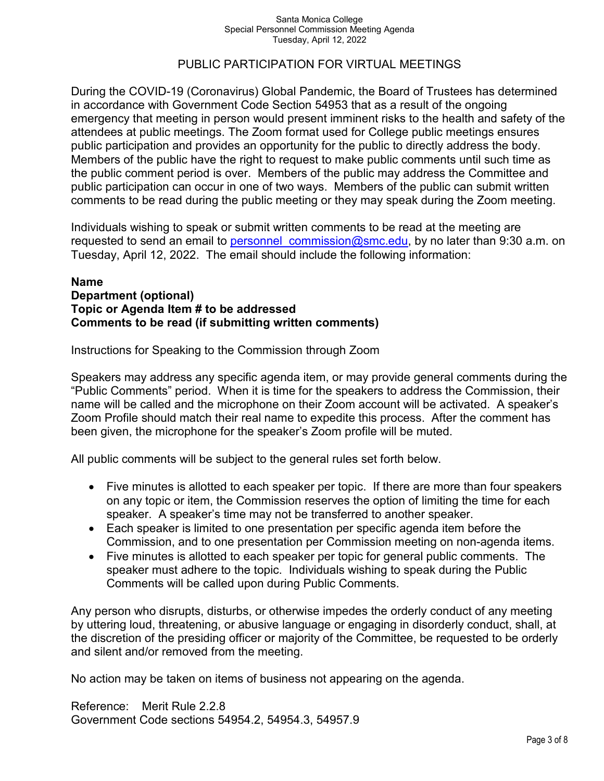#### Santa Monica College Special Personnel Commission Meeting Agenda Tuesday, April 12, 2022

### PUBLIC PARTICIPATION FOR VIRTUAL MEETINGS

During the COVID-19 (Coronavirus) Global Pandemic, the Board of Trustees has determined in accordance with Government Code Section 54953 that as a result of the ongoing emergency that meeting in person would present imminent risks to the health and safety of the attendees at public meetings. The Zoom format used for College public meetings ensures public participation and provides an opportunity for the public to directly address the body. Members of the public have the right to request to make public comments until such time as the public comment period is over. Members of the public may address the Committee and public participation can occur in one of two ways. Members of the public can submit written comments to be read during the public meeting or they may speak during the Zoom meeting.

Individuals wishing to speak or submit written comments to be read at the meeting are requested to send an email to personnel commission@smc.edu, by no later than 9:30 a.m. on Tuesday, April 12, 2022. The email should include the following information:

#### **Name Department (optional) Topic or Agenda Item # to be addressed Comments to be read (if submitting written comments)**

Instructions for Speaking to the Commission through Zoom

Speakers may address any specific agenda item, or may provide general comments during the "Public Comments" period. When it is time for the speakers to address the Commission, their name will be called and the microphone on their Zoom account will be activated. A speaker's Zoom Profile should match their real name to expedite this process. After the comment has been given, the microphone for the speaker's Zoom profile will be muted.

All public comments will be subject to the general rules set forth below.

- Five minutes is allotted to each speaker per topic. If there are more than four speakers on any topic or item, the Commission reserves the option of limiting the time for each speaker. A speaker's time may not be transferred to another speaker.
- Each speaker is limited to one presentation per specific agenda item before the Commission, and to one presentation per Commission meeting on non-agenda items.
- Five minutes is allotted to each speaker per topic for general public comments. The speaker must adhere to the topic. Individuals wishing to speak during the Public Comments will be called upon during Public Comments.

Any person who disrupts, disturbs, or otherwise impedes the orderly conduct of any meeting by uttering loud, threatening, or abusive language or engaging in disorderly conduct, shall, at the discretion of the presiding officer or majority of the Committee, be requested to be orderly and silent and/or removed from the meeting.

No action may be taken on items of business not appearing on the agenda.

Reference: Merit Rule 2.2.8 Government Code sections 54954.2, 54954.3, 54957.9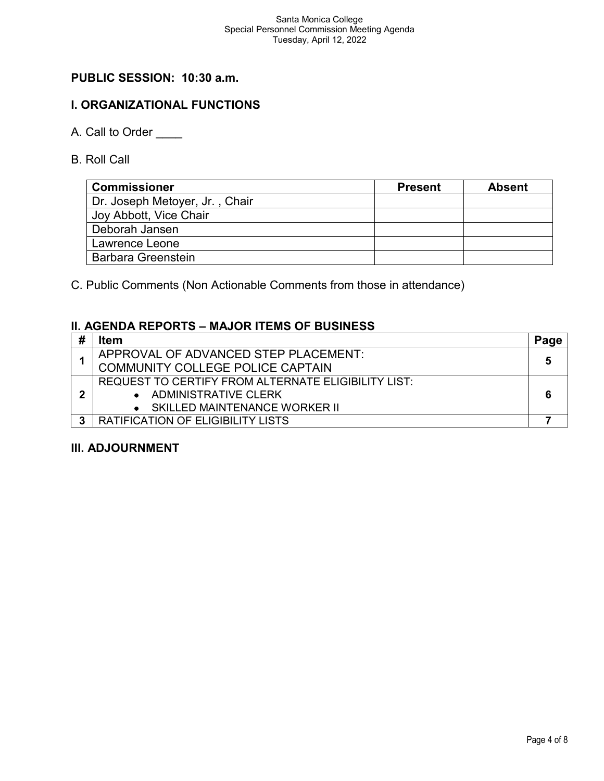# **PUBLIC SESSION: 10:30 a.m.**

### **I. ORGANIZATIONAL FUNCTIONS**

- A. Call to Order
- B. Roll Call

| <b>Commissioner</b>            | <b>Present</b> | <b>Absent</b> |
|--------------------------------|----------------|---------------|
| Dr. Joseph Metoyer, Jr., Chair |                |               |
| Joy Abbott, Vice Chair         |                |               |
| Deborah Jansen                 |                |               |
| Lawrence Leone                 |                |               |
| <b>Barbara Greenstein</b>      |                |               |

C. Public Comments (Non Actionable Comments from those in attendance)

#### **II. AGENDA REPORTS – MAJOR ITEMS OF BUSINESS**

| Item                                                |   |
|-----------------------------------------------------|---|
| APPROVAL OF ADVANCED STEP PLACEMENT:                |   |
| COMMUNITY COLLEGE POLICE CAPTAIN                    | 5 |
| REQUEST TO CERTIFY FROM ALTERNATE ELIGIBILITY LIST: |   |
| • ADMINISTRATIVE CLERK                              | 6 |
| $\bullet$ SKILLED MAINTENANCE WORKER II             |   |
| <b>RATIFICATION OF ELIGIBILITY LISTS</b>            |   |

#### **III. ADJOURNMENT**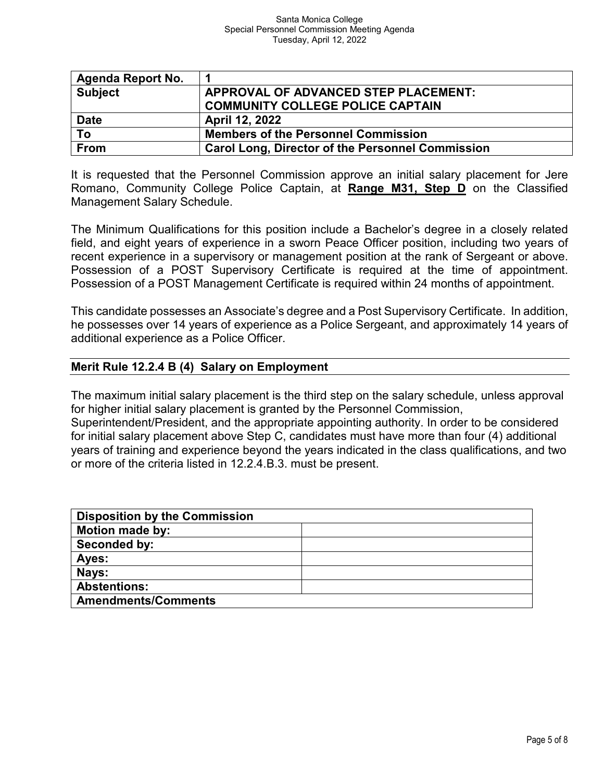| Agenda Report No. |                                                         |
|-------------------|---------------------------------------------------------|
| <b>Subject</b>    | APPROVAL OF ADVANCED STEP PLACEMENT:                    |
|                   | <b>COMMUNITY COLLEGE POLICE CAPTAIN</b>                 |
| <b>Date</b>       | April 12, 2022                                          |
| To                | <b>Members of the Personnel Commission</b>              |
| <b>From</b>       | <b>Carol Long, Director of the Personnel Commission</b> |

It is requested that the Personnel Commission approve an initial salary placement for Jere Romano, Community College Police Captain, at **Range M31, Step D** on the Classified Management Salary Schedule.

The Minimum Qualifications for this position include a Bachelor's degree in a closely related field, and eight years of experience in a sworn Peace Officer position, including two years of recent experience in a supervisory or management position at the rank of Sergeant or above. Possession of a POST Supervisory Certificate is required at the time of appointment. Possession of a POST Management Certificate is required within 24 months of appointment.

This candidate possesses an Associate's degree and a Post Supervisory Certificate. In addition, he possesses over 14 years of experience as a Police Sergeant, and approximately 14 years of additional experience as a Police Officer.

### **Merit Rule 12.2.4 B (4) Salary on Employment**

The maximum initial salary placement is the third step on the salary schedule, unless approval for higher initial salary placement is granted by the Personnel Commission,

Superintendent/President, and the appropriate appointing authority. In order to be considered for initial salary placement above Step C, candidates must have more than four (4) additional years of training and experience beyond the years indicated in the class qualifications, and two or more of the criteria listed in 12.2.4.B.3. must be present.

| <b>Disposition by the Commission</b> |  |  |
|--------------------------------------|--|--|
| <b>Motion made by:</b>               |  |  |
| Seconded by:                         |  |  |
| Ayes:                                |  |  |
| Nays:                                |  |  |
| <b>Abstentions:</b>                  |  |  |
| <b>Amendments/Comments</b>           |  |  |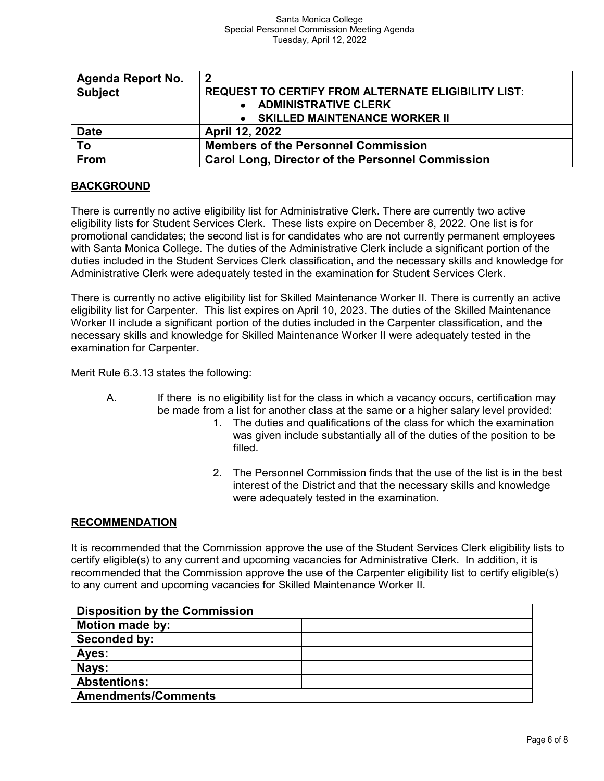| <b>Agenda Report No.</b> | 2                                                          |
|--------------------------|------------------------------------------------------------|
| <b>Subject</b>           | <b>REQUEST TO CERTIFY FROM ALTERNATE ELIGIBILITY LIST:</b> |
|                          | • ADMINISTRATIVE CLERK                                     |
|                          | • SKILLED MAINTENANCE WORKER II                            |
| <b>Date</b>              | April 12, 2022                                             |
| To                       | <b>Members of the Personnel Commission</b>                 |
| From                     | <b>Carol Long, Director of the Personnel Commission</b>    |

#### **BACKGROUND**

There is currently no active eligibility list for Administrative Clerk. There are currently two active eligibility lists for Student Services Clerk. These lists expire on December 8, 2022. One list is for promotional candidates; the second list is for candidates who are not currently permanent employees with Santa Monica College. The duties of the Administrative Clerk include a significant portion of the duties included in the Student Services Clerk classification, and the necessary skills and knowledge for Administrative Clerk were adequately tested in the examination for Student Services Clerk.

There is currently no active eligibility list for Skilled Maintenance Worker II. There is currently an active eligibility list for Carpenter. This list expires on April 10, 2023. The duties of the Skilled Maintenance Worker II include a significant portion of the duties included in the Carpenter classification, and the necessary skills and knowledge for Skilled Maintenance Worker II were adequately tested in the examination for Carpenter.

Merit Rule 6.3.13 states the following:

- A. If there is no eligibility list for the class in which a vacancy occurs, certification may be made from a list for another class at the same or a higher salary level provided:
	- 1. The duties and qualifications of the class for which the examination was given include substantially all of the duties of the position to be filled.
	- 2. The Personnel Commission finds that the use of the list is in the best interest of the District and that the necessary skills and knowledge were adequately tested in the examination.

#### **RECOMMENDATION**

It is recommended that the Commission approve the use of the Student Services Clerk eligibility lists to certify eligible(s) to any current and upcoming vacancies for Administrative Clerk. In addition, it is recommended that the Commission approve the use of the Carpenter eligibility list to certify eligible(s) to any current and upcoming vacancies for Skilled Maintenance Worker II.

| <b>Disposition by the Commission</b> |  |
|--------------------------------------|--|
| <b>Motion made by:</b>               |  |
| Seconded by:                         |  |
| Ayes:                                |  |
| Nays:                                |  |
| <b>Abstentions:</b>                  |  |
| <b>Amendments/Comments</b>           |  |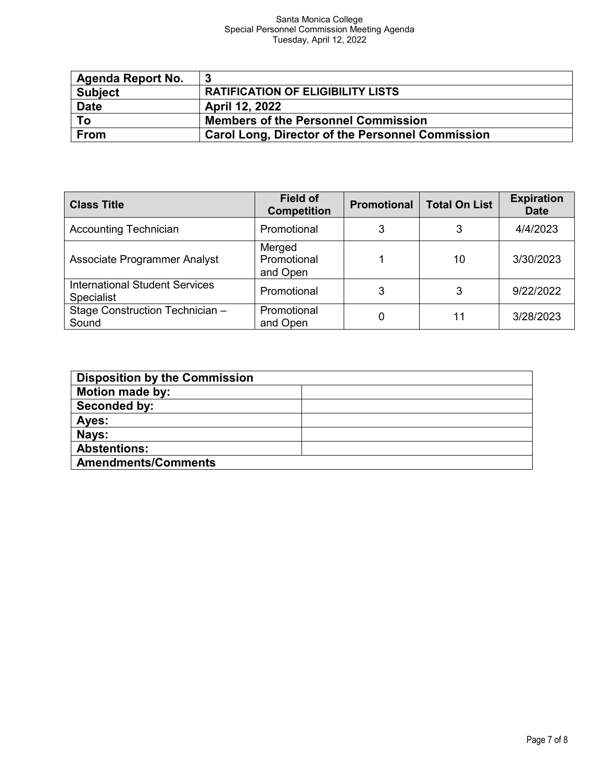#### Santa Monica College Special Personnel Commission Meeting Agenda Tuesday, April 12, 2022

| <b>Agenda Report No.</b> | -3                                                      |
|--------------------------|---------------------------------------------------------|
| <b>Subject</b>           | <b>RATIFICATION OF ELIGIBILITY LISTS</b>                |
| <b>Date</b>              | April 12, 2022                                          |
| To                       | <b>Members of the Personnel Commission</b>              |
| <b>From</b>              | <b>Carol Long, Director of the Personnel Commission</b> |

| <b>Class Title</b>                                         | <b>Field of</b><br><b>Competition</b> | <b>Promotional</b> | <b>Total On List</b> | <b>Expiration</b><br><b>Date</b> |
|------------------------------------------------------------|---------------------------------------|--------------------|----------------------|----------------------------------|
| <b>Accounting Technician</b>                               | Promotional                           | 3                  | 3                    | 4/4/2023                         |
| <b>Associate Programmer Analyst</b>                        | Merged<br>Promotional<br>and Open     |                    | 10                   | 3/30/2023                        |
| <b>International Student Services</b><br><b>Specialist</b> | Promotional                           | 3                  | 3                    | 9/22/2022                        |
| Stage Construction Technician -<br>Sound                   | Promotional<br>and Open               | 0                  | 11                   | 3/28/2023                        |

| <b>Disposition by the Commission</b> |  |
|--------------------------------------|--|
| <b>Motion made by:</b>               |  |
| Seconded by:                         |  |
| Ayes:                                |  |
| Nays:                                |  |
| <b>Abstentions:</b>                  |  |
| <b>Amendments/Comments</b>           |  |